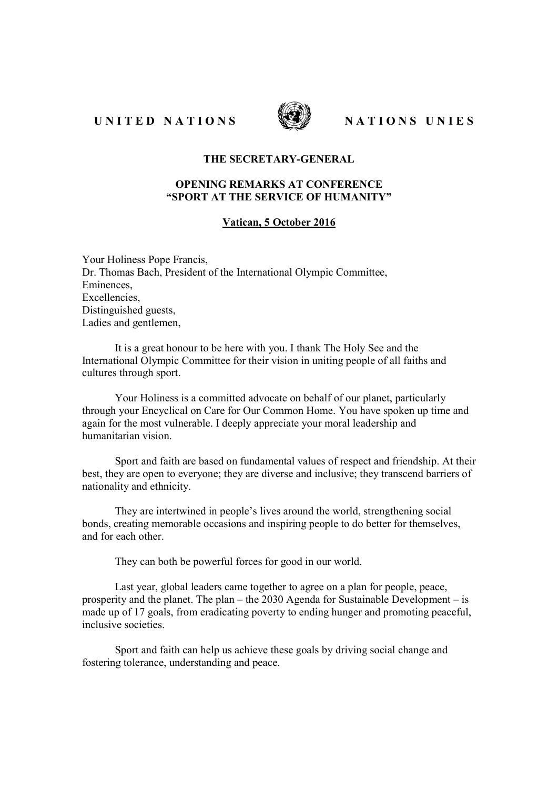UNITED NATIONS WATER NATIONS UNIES



## THE SECRETARY-GENERAL

## OPENING REMARKS AT CONFERENCE "SPORT AT THE SERVICE OF HUMANITY"

## Vatican, 5 October 2016

Your Holiness Pope Francis, Dr. Thomas Bach, President of the International Olympic Committee, Eminences, Excellencies, Distinguished guests, Ladies and gentlemen,

It is a great honour to be here with you. I thank The Holy See and the International Olympic Committee for their vision in uniting people of all faiths and cultures through sport.

Your Holiness is a committed advocate on behalf of our planet, particularly through your Encyclical on Care for Our Common Home. You have spoken up time and again for the most vulnerable. I deeply appreciate your moral leadership and humanitarian vision.

Sport and faith are based on fundamental values of respect and friendship. At their best, they are open to everyone; they are diverse and inclusive; they transcend barriers of nationality and ethnicity.

They are intertwined in people's lives around the world, strengthening social bonds, creating memorable occasions and inspiring people to do better for themselves, and for each other.

They can both be powerful forces for good in our world.

Last year, global leaders came together to agree on a plan for people, peace, prosperity and the planet. The plan – the 2030 Agenda for Sustainable Development – is made up of 17 goals, from eradicating poverty to ending hunger and promoting peaceful, inclusive societies.

Sport and faith can help us achieve these goals by driving social change and fostering tolerance, understanding and peace.